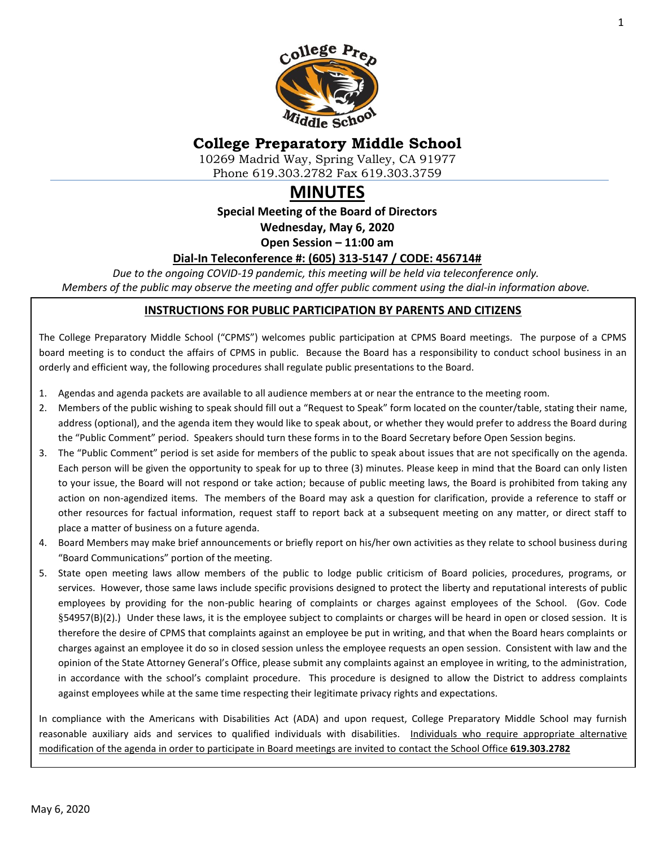

# **College Preparatory Middle School**

10269 Madrid Way, Spring Valley, CA 91977 Phone 619.303.2782 Fax 619.303.3759

# **MINUTES**

**Special Meeting of the Board of Directors**

**Wednesday, May 6, 2020**

**Open Session – 11:00 am**

### **Dial-In Teleconference #: (605) 313-5147 / CODE: 456714#**

*Due to the ongoing COVID-19 pandemic, this meeting will be held via teleconference only. Members of the public may observe the meeting and offer public comment using the dial-in information above.*

### **INSTRUCTIONS FOR PUBLIC PARTICIPATION BY PARENTS AND CITIZENS**

The College Preparatory Middle School ("CPMS") welcomes public participation at CPMS Board meetings. The purpose of a CPMS board meeting is to conduct the affairs of CPMS in public. Because the Board has a responsibility to conduct school business in an orderly and efficient way, the following procedures shall regulate public presentations to the Board.

- 1. Agendas and agenda packets are available to all audience members at or near the entrance to the meeting room.
- 2. Members of the public wishing to speak should fill out a "Request to Speak" form located on the counter/table, stating their name, address (optional), and the agenda item they would like to speak about, or whether they would prefer to address the Board during the "Public Comment" period. Speakers should turn these forms in to the Board Secretary before Open Session begins.
- 3. The "Public Comment" period is set aside for members of the public to speak about issues that are not specifically on the agenda. Each person will be given the opportunity to speak for up to three (3) minutes. Please keep in mind that the Board can only listen to your issue, the Board will not respond or take action; because of public meeting laws, the Board is prohibited from taking any action on non-agendized items. The members of the Board may ask a question for clarification, provide a reference to staff or other resources for factual information, request staff to report back at a subsequent meeting on any matter, or direct staff to place a matter of business on a future agenda.
- 4. Board Members may make brief announcements or briefly report on his/her own activities as they relate to school business during "Board Communications" portion of the meeting.
- 5. State open meeting laws allow members of the public to lodge public criticism of Board policies, procedures, programs, or services. However, those same laws include specific provisions designed to protect the liberty and reputational interests of public employees by providing for the non-public hearing of complaints or charges against employees of the School. (Gov. Code §54957(B)(2).) Under these laws, it is the employee subject to complaints or charges will be heard in open or closed session. It is therefore the desire of CPMS that complaints against an employee be put in writing, and that when the Board hears complaints or charges against an employee it do so in closed session unless the employee requests an open session. Consistent with law and the opinion of the State Attorney General's Office, please submit any complaints against an employee in writing, to the administration, in accordance with the school's complaint procedure. This procedure is designed to allow the District to address complaints against employees while at the same time respecting their legitimate privacy rights and expectations.

In compliance with the Americans with Disabilities Act (ADA) and upon request, College Preparatory Middle School may furnish reasonable auxiliary aids and services to qualified individuals with disabilities. Individuals who require appropriate alternative modification of the agenda in order to participate in Board meetings are invited to contact the School Office **619.303.2782**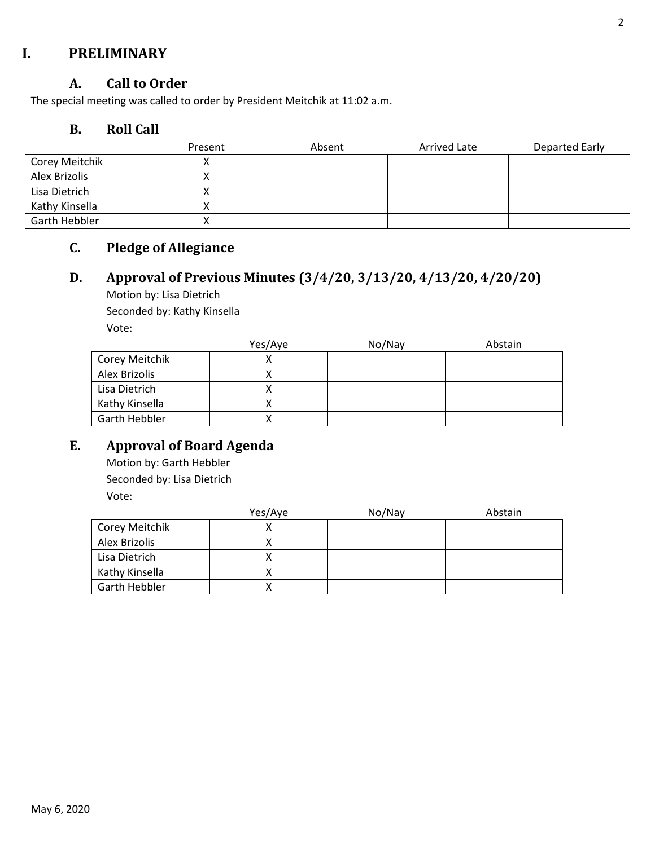## **I. PRELIMINARY**

### **A. Call to Order**

The special meeting was called to order by President Meitchik at 11:02 a.m.

### **B. Roll Call**

|                | Present | Absent | Arrived Late | Departed Early |
|----------------|---------|--------|--------------|----------------|
| Corey Meitchik |         |        |              |                |
| Alex Brizolis  |         |        |              |                |
| Lisa Dietrich  |         |        |              |                |
| Kathy Kinsella |         |        |              |                |
| Garth Hebbler  |         |        |              |                |

# **C. Pledge of Allegiance**

# **D. Approval of Previous Minutes (3/4/20, 3/13/20, 4/13/20, 4/20/20)**

Motion by: Lisa Dietrich Seconded by: Kathy Kinsella Vote:

|                | Yes/Aye | No/Nay | Abstain |
|----------------|---------|--------|---------|
| Corey Meitchik |         |        |         |
| Alex Brizolis  |         |        |         |
| Lisa Dietrich  |         |        |         |
| Kathy Kinsella |         |        |         |
| Garth Hebbler  |         |        |         |

# **E. Approval of Board Agenda**

Motion by: Garth Hebbler Seconded by: Lisa Dietrich Vote:

|                | Yes/Aye | No/Nay | Abstain |
|----------------|---------|--------|---------|
| Corey Meitchik |         |        |         |
| Alex Brizolis  |         |        |         |
| Lisa Dietrich  |         |        |         |
| Kathy Kinsella |         |        |         |
| Garth Hebbler  |         |        |         |